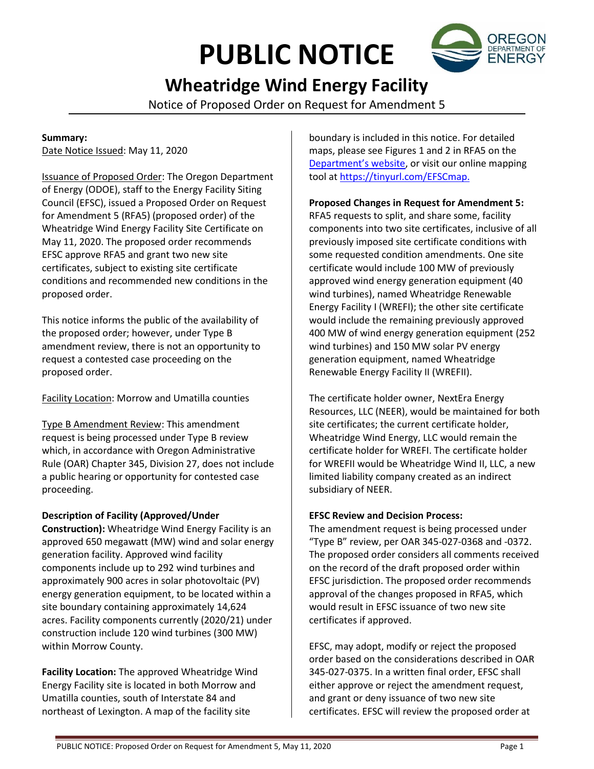# **PUBLIC NOTICE**



# **Wheatridge Wind Energy Facility**

Notice of Proposed Order on Request for Amendment 5

#### **Summary:**

Date Notice Issued: May 11, 2020

Issuance of Proposed Order: The Oregon Department of Energy (ODOE), staff to the Energy Facility Siting Council (EFSC), issued a Proposed Order on Request for Amendment 5 (RFA5) (proposed order) of the Wheatridge Wind Energy Facility Site Certificate on May 11, 2020. The proposed order recommends EFSC approve RFA5 and grant two new site certificates, subject to existing site certificate conditions and recommended new conditions in the proposed order.

This notice informs the public of the availability of the proposed order; however, under Type B amendment review, there is not an opportunity to request a contested case proceeding on the proposed order.

# Facility Location: Morrow and Umatilla counties

Type B Amendment Review: This amendment request is being processed under Type B review which, in accordance with Oregon Administrative Rule (OAR) Chapter 345, Division 27, does not include a public hearing or opportunity for contested case proceeding.

# **Description of Facility (Approved/Under**

**Construction):** Wheatridge Wind Energy Facility is an approved 650 megawatt (MW) wind and solar energy generation facility. Approved wind facility components include up to 292 wind turbines and approximately 900 acres in solar photovoltaic (PV) energy generation equipment, to be located within a site boundary containing approximately 14,624 acres. Facility components currently (2020/21) under construction include 120 wind turbines (300 MW) within Morrow County.

**Facility Location:** The approved Wheatridge Wind Energy Facility site is located in both Morrow and Umatilla counties, south of Interstate 84 and northeast of Lexington. A map of the facility site

boundary is included in this notice. For detailed maps, please see Figures 1 and 2 in RFA5 on the [Department's website](https://www.oregon.gov/energy/facilities-safety/facilities/Pages/WRW.aspx), or visit our online mapping tool a[t https://tinyurl.com/EFSCmap.](https://tinyurl.com/EFSCmap)

### **Proposed Changes in Request for Amendment 5:**

RFA5 requests to split, and share some, facility components into two site certificates, inclusive of all previously imposed site certificate conditions with some requested condition amendments. One site certificate would include 100 MW of previously approved wind energy generation equipment (40 wind turbines), named Wheatridge Renewable Energy Facility I (WREFI); the other site certificate would include the remaining previously approved 400 MW of wind energy generation equipment (252 wind turbines) and 150 MW solar PV energy generation equipment, named Wheatridge Renewable Energy Facility II (WREFII).

The certificate holder owner, NextEra Energy Resources, LLC (NEER), would be maintained for both site certificates; the current certificate holder, Wheatridge Wind Energy, LLC would remain the certificate holder for WREFI. The certificate holder for WREFII would be Wheatridge Wind II, LLC, a new limited liability company created as an indirect subsidiary of NEER.

#### **EFSC Review and Decision Process:**

The amendment request is being processed under "Type B" review, per OAR 345-027-0368 and -0372. The proposed order considers all comments received on the record of the draft proposed order within EFSC jurisdiction. The proposed order recommends approval of the changes proposed in RFA5, which would result in EFSC issuance of two new site certificates if approved.

EFSC, may adopt, modify or reject the proposed order based on the considerations described in OAR 345-027-0375. In a written final order, EFSC shall either approve or reject the amendment request, and grant or deny issuance of two new site certificates. EFSC will review the proposed order at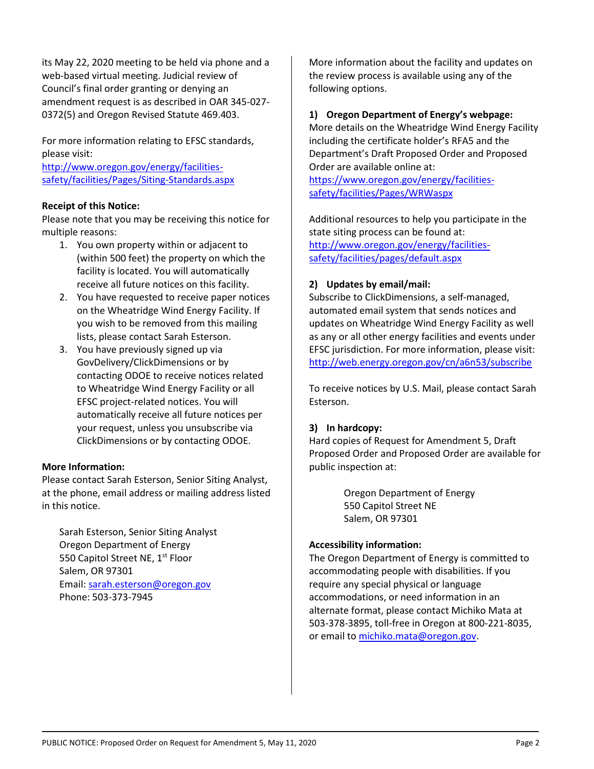its May 22, 2020 meeting to be held via phone and a web-based virtual meeting. Judicial review of Council's final order granting or denying an amendment request is as described in OAR 345-027- 0372(5) and Oregon Revised Statute 469.403.

For more information relating to EFSC standards, please visit:

[http://www.oregon.gov/energy/facilities](http://www.oregon.gov/energy/facilities-safety/facilities/Pages/Siting-Standards.aspx)[safety/facilities/Pages/Siting-Standards.aspx](http://www.oregon.gov/energy/facilities-safety/facilities/Pages/Siting-Standards.aspx)

#### **Receipt of this Notice:**

Please note that you may be receiving this notice for multiple reasons:

- 1. You own property within or adjacent to (within 500 feet) the property on which the facility is located. You will automatically receive all future notices on this facility.
- 2. You have requested to receive paper notices on the Wheatridge Wind Energy Facility. If you wish to be removed from this mailing lists, please contact Sarah Esterson.
- 3. You have previously signed up via GovDelivery/ClickDimensions or by contacting ODOE to receive notices related to Wheatridge Wind Energy Facility or all EFSC project-related notices. You will automatically receive all future notices per your request, unless you unsubscribe via ClickDimensions or by contacting ODOE.

#### **More Information:**

Please contact Sarah Esterson, Senior Siting Analyst, at the phone, email address or mailing address listed in this notice.

Sarah Esterson, Senior Siting Analyst Oregon Department of Energy 550 Capitol Street NE, 1<sup>st</sup> Floor Salem, OR 97301 Email: [sarah.esterson@oregon.gov](mailto:sarah.esterson@oregon.gov) Phone: 503-373-7945

More information about the facility and updates on the review process is available using any of the following options.

#### **1) Oregon Department of Energy's webpage:**

More details on the Wheatridge Wind Energy Facility including the certificate holder's RFA5 and the Department's Draft Proposed Order and Proposed Order are available online at:

[https://www.oregon.gov/energy/facilities](https://www.oregon.gov/energy/facilities-safety/facilities/Pages/WRW.aspx)[safety/facilities/Pages/WRWaspx](https://www.oregon.gov/energy/facilities-safety/facilities/Pages/WRW.aspx)

Additional resources to help you participate in the state siting process can be found at: [http://www.oregon.gov/energy/facilities](http://www.oregon.gov/energy/facilities-safety/facilities/pages/default.aspx)[safety/facilities/pages/default.aspx](http://www.oregon.gov/energy/facilities-safety/facilities/pages/default.aspx)

#### **2) Updates by email/mail:**

Subscribe to ClickDimensions, a self-managed, automated email system that sends notices and updates on Wheatridge Wind Energy Facility as well as any or all other energy facilities and events under EFSC jurisdiction. For more information, please visit: <http://web.energy.oregon.gov/cn/a6n53/subscribe>

To receive notices by U.S. Mail, please contact Sarah Esterson.

#### **3) In hardcopy:**

Hard copies of Request for Amendment 5, Draft Proposed Order and Proposed Order are available for public inspection at:

> Oregon Department of Energy 550 Capitol Street NE Salem, OR 97301

#### **Accessibility information:**

The Oregon Department of Energy is committed to accommodating people with disabilities. If you require any special physical or language accommodations, or need information in an alternate format, please contact Michiko Mata at 503-378-3895, toll-free in Oregon at 800-221-8035, or email to [michiko.mata@oregon.gov.](mailto:michiko.mata@oregon.gov)